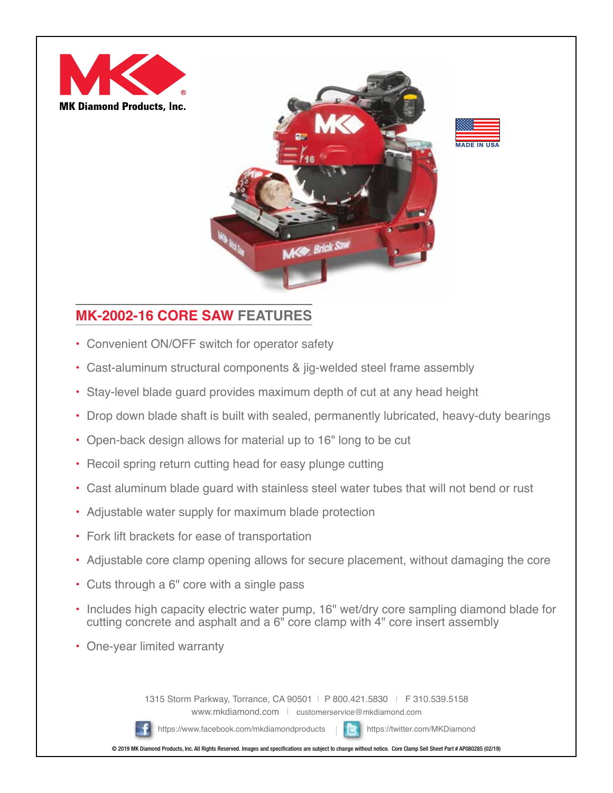



## **MK-2002-16 CORE SAW FEATURES**

- Convenient ON/OFF switch for operator safety
- Cast-aluminum structural components & jig-welded steel frame assembly
- Stay-level blade guard provides maximum depth of cut at any head height
- Drop down blade shaft is built with sealed, permanently lubricated, heavy-duty bearings
- Open-back design allows for material up to 16" long to be cut
- Recoil spring return cutting head for easy plunge cutting
- Cast aluminum blade guard with stainless steel water tubes that will not bend or rust
- Adjustable water supply for maximum blade protection
- Fork lift brackets for ease of transportation
- Adjustable core clamp opening allows for secure placement, without damaging the core
- Cuts through a 6" core with a single pass
- Includes high capacity electric water pump, 16" wet/dry core sampling diamond blade for cutting concrete and asphalt and a 6" core clamp with 4" core insert assembly
- One-year limited warranty

1315 Storm Parkway, Torrance, CA 90501 | P 800.421.5830 | F 310.539.5158 www.mkdiamond.com | customerservice@mkdiamond.com

https://www.facebook.com/mkdiamondproducts https://twitter.com/MKDiamond



© 2019 MK Diamond Products, Inc. All Rights Reserved. Images and specifications are subject to change without notice. Core Clamp Sell Sheet Part # AP080285 (02/19)